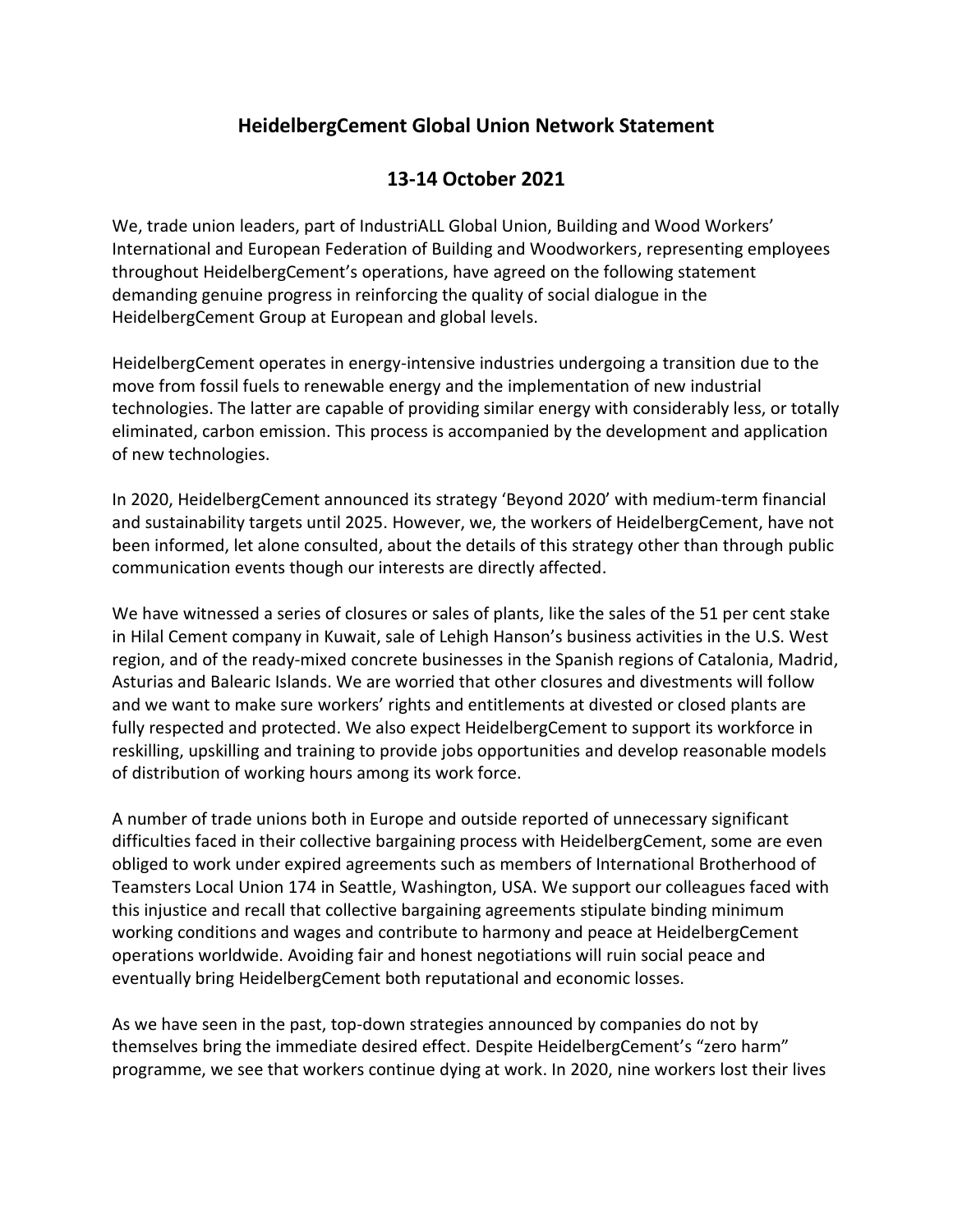## **HeidelbergCement Global Union Network Statement**

## **13-14 October 2021**

We, trade union leaders, part of IndustriALL Global Union, Building and Wood Workers' International and European Federation of Building and Woodworkers, representing employees throughout HeidelbergCement's operations, have agreed on the following statement demanding genuine progress in reinforcing the quality of social dialogue in the HeidelbergCement Group at European and global levels.

HeidelbergCement operates in energy-intensive industries undergoing a transition due to the move from fossil fuels to renewable energy and the implementation of new industrial technologies. The latter are capable of providing similar energy with considerably less, or totally eliminated, carbon emission. This process is accompanied by the development and application of new technologies.

In 2020, HeidelbergCement announced its strategy 'Beyond 2020' with medium-term financial and sustainability targets until 2025. However, we, the workers of HeidelbergCement, have not been informed, let alone consulted, about the details of this strategy other than through public communication events though our interests are directly affected.

We have witnessed a series of closures or sales of plants, like the sales of the 51 per cent stake in Hilal Cement company in Kuwait, sale of Lehigh Hanson's business activities in the U.S. West region, and of the ready-mixed concrete businesses in the Spanish regions of Catalonia, Madrid, Asturias and Balearic Islands. We are worried that other closures and divestments will follow and we want to make sure workers' rights and entitlements at divested or closed plants are fully respected and protected. We also expect HeidelbergCement to support its workforce in reskilling, upskilling and training to provide jobs opportunities and develop reasonable models of distribution of working hours among its work force.

A number of trade unions both in Europe and outside reported of unnecessary significant difficulties faced in their collective bargaining process with HeidelbergCement, some are even obliged to work under expired agreements such as members of International Brotherhood of Teamsters Local Union 174 in Seattle, Washington, USA. We support our colleagues faced with this injustice and recall that collective bargaining agreements stipulate binding minimum working conditions and wages and contribute to harmony and peace at HeidelbergCement operations worldwide. Avoiding fair and honest negotiations will ruin social peace and eventually bring HeidelbergCement both reputational and economic losses.

As we have seen in the past, top-down strategies announced by companies do not by themselves bring the immediate desired effect. Despite HeidelbergCement's "zero harm" programme, we see that workers continue dying at work. In 2020, nine workers lost their lives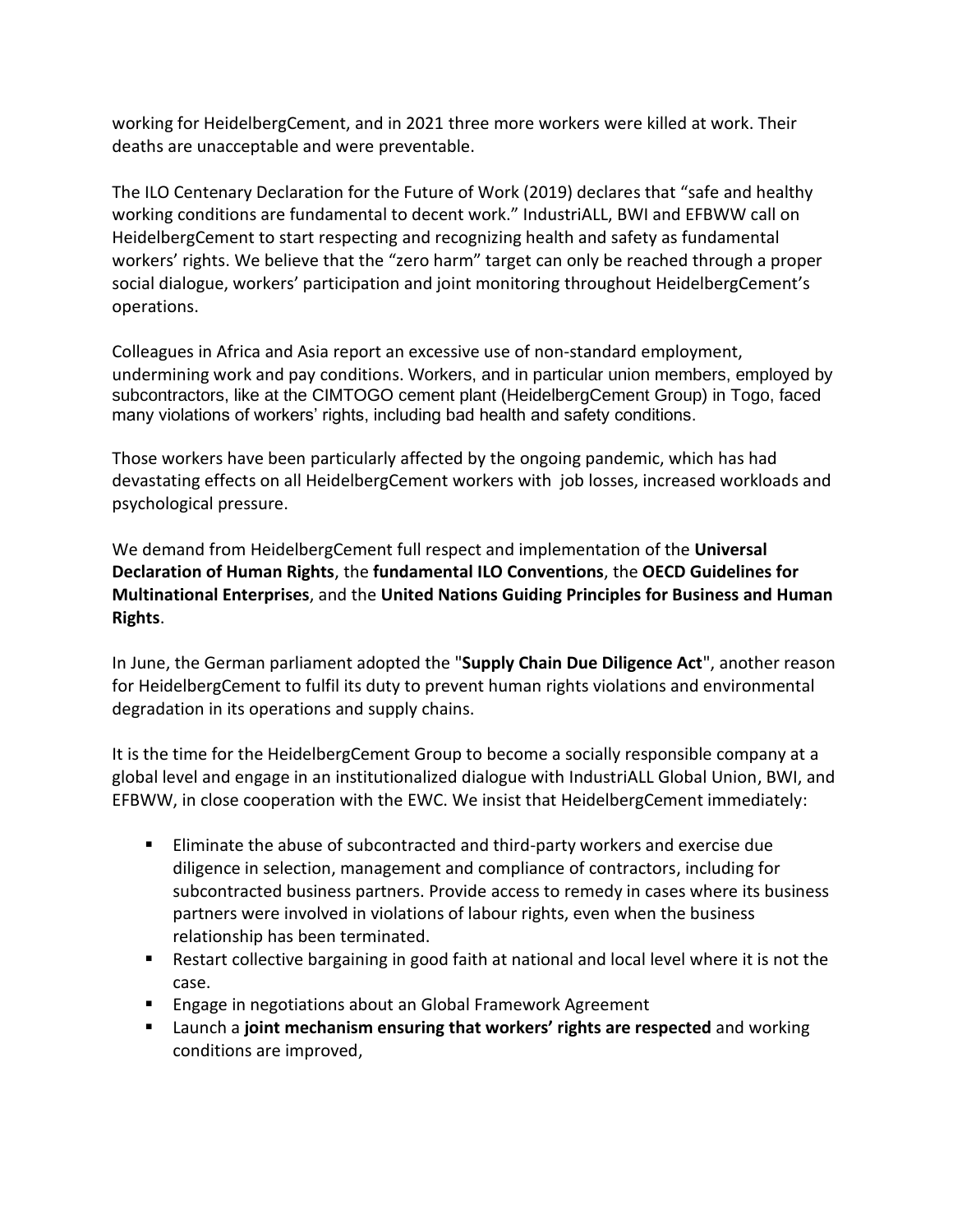working for HeidelbergCement, and in 2021 three more workers were killed at work. Their deaths are unacceptable and were preventable.

The ILO Centenary Declaration for the Future of Work (2019) declares that "safe and healthy working conditions are fundamental to decent work." IndustriALL, BWI and EFBWW call on HeidelbergCement to start respecting and recognizing health and safety as fundamental workers' rights. We believe that the "zero harm" target can only be reached through a proper social dialogue, workers' participation and joint monitoring throughout HeidelbergCement's operations.

Colleagues in Africa and Asia report an excessive use of non-standard employment, undermining work and pay conditions. Workers, and in particular union members, employed by subcontractors, like at the CIMTOGO cement plant (HeidelbergCement Group) in Togo, faced many violations of workers' rights, including bad health and safety conditions.

Those workers have been particularly affected by the ongoing pandemic, which has had devastating effects on all HeidelbergCement workers with job losses, increased workloads and psychological pressure.

We demand from HeidelbergCement full respect and implementation of the **Universal Declaration of Human Rights**, the **fundamental ILO Conventions**, the **OECD Guidelines for Multinational Enterprises**, and the **United Nations Guiding Principles for Business and Human Rights**.

In June, the German parliament adopted the "**Supply Chain Due Diligence Act**", another reason for HeidelbergCement to fulfil its duty to prevent human rights violations and environmental degradation in its operations and supply chains.

It is the time for the HeidelbergCement Group to become a socially responsible company at a global level and engage in an institutionalized dialogue with IndustriALL Global Union, BWI, and EFBWW, in close cooperation with the EWC. We insist that HeidelbergCement immediately:

- Eliminate the abuse of subcontracted and third-party workers and exercise due diligence in selection, management and compliance of contractors, including for subcontracted business partners. Provide access to remedy in cases where its business partners were involved in violations of labour rights, even when the business relationship has been terminated.
- Restart collective bargaining in good faith at national and local level where it is not the case.
- Engage in negotiations about an Global Framework Agreement
- Launch a **joint mechanism ensuring that workers' rights are respected** and working conditions are improved,